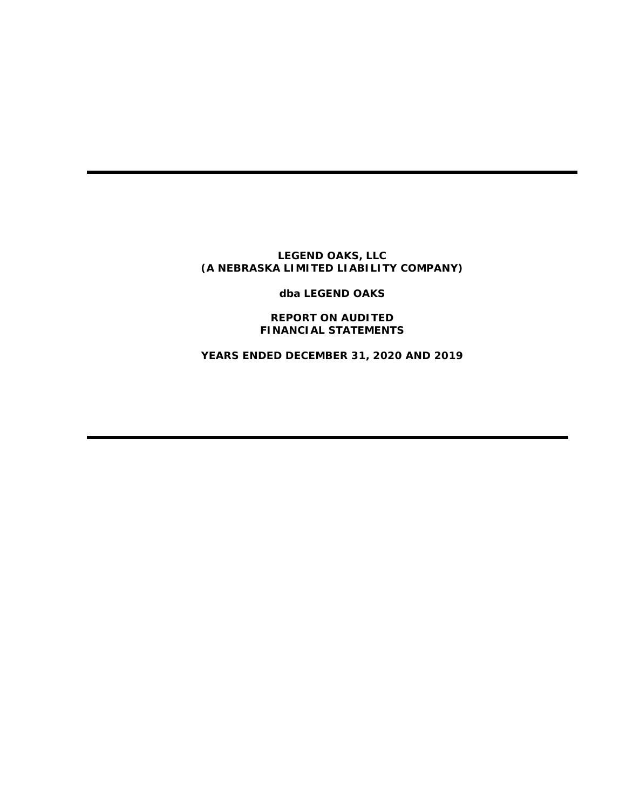**dba LEGEND OAKS**

**REPORT ON AUDITED FINANCIAL STATEMENTS**

**YEARS ENDED DECEMBER 31, 2020 AND 2019**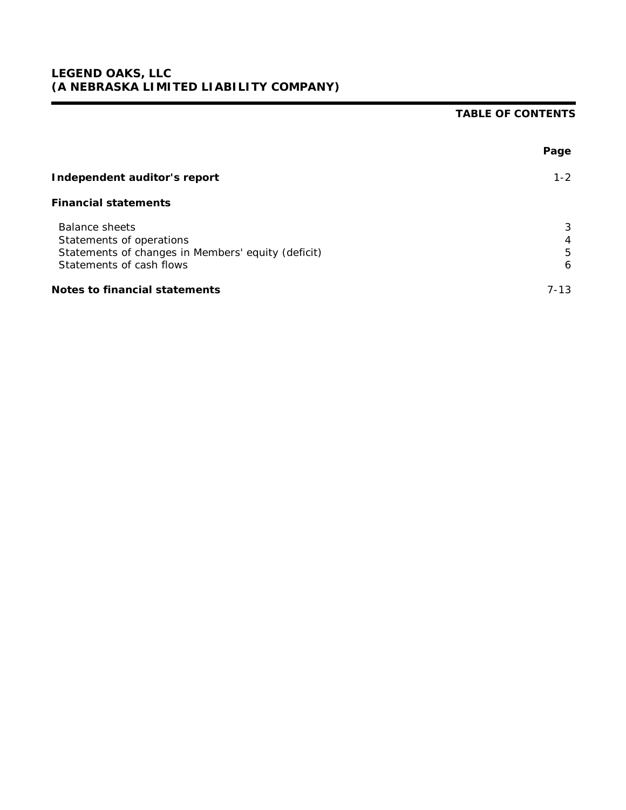# **TABLE OF CONTENTS**

|                                                                                                                                     | Page             |
|-------------------------------------------------------------------------------------------------------------------------------------|------------------|
| Independent auditor's report                                                                                                        | $1 - 2$          |
| <b>Financial statements</b>                                                                                                         |                  |
| <b>Balance sheets</b><br>Statements of operations<br>Statements of changes in Members' equity (deficit)<br>Statements of cash flows | 3<br>4<br>5<br>6 |
| Notes to financial statements                                                                                                       | $7 - 13$         |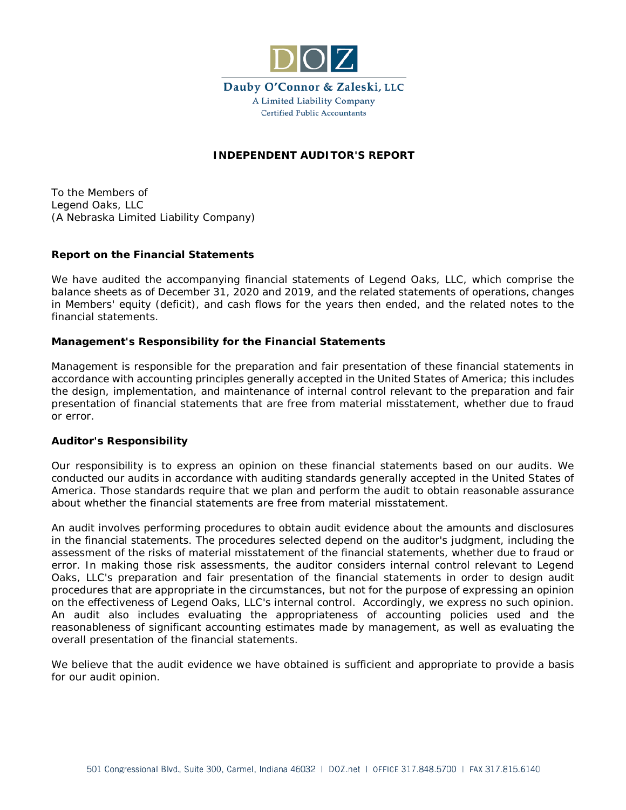

# **INDEPENDENT AUDITOR'S REPORT**

To the Members of Legend Oaks, LLC (A Nebraska Limited Liability Company)

### **Report on the Financial Statements**

We have audited the accompanying financial statements of Legend Oaks, LLC, which comprise the balance sheets as of December 31, 2020 and 2019, and the related statements of operations, changes in Members' equity (deficit), and cash flows for the years then ended, and the related notes to the financial statements.

### **Management's Responsibility for the Financial Statements**

Management is responsible for the preparation and fair presentation of these financial statements in accordance with accounting principles generally accepted in the United States of America; this includes the design, implementation, and maintenance of internal control relevant to the preparation and fair presentation of financial statements that are free from material misstatement, whether due to fraud or error.

#### **Auditor's Responsibility**

Our responsibility is to express an opinion on these financial statements based on our audits. We conducted our audits in accordance with auditing standards generally accepted in the United States of America. Those standards require that we plan and perform the audit to obtain reasonable assurance about whether the financial statements are free from material misstatement.

An audit involves performing procedures to obtain audit evidence about the amounts and disclosures in the financial statements. The procedures selected depend on the auditor's judgment, including the assessment of the risks of material misstatement of the financial statements, whether due to fraud or error. In making those risk assessments, the auditor considers internal control relevant to Legend Oaks, LLC's preparation and fair presentation of the financial statements in order to design audit procedures that are appropriate in the circumstances, but not for the purpose of expressing an opinion on the effectiveness of Legend Oaks, LLC's internal control. Accordingly, we express no such opinion. An audit also includes evaluating the appropriateness of accounting policies used and the reasonableness of significant accounting estimates made by management, as well as evaluating the overall presentation of the financial statements.

We believe that the audit evidence we have obtained is sufficient and appropriate to provide a basis for our audit opinion.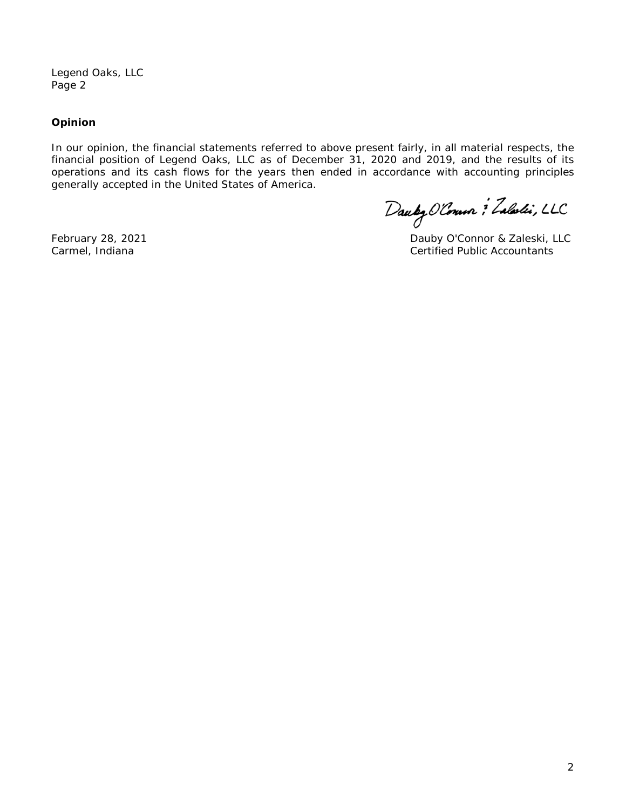Legend Oaks, LLC Page 2

## **Opinion**

In our opinion, the financial statements referred to above present fairly, in all material respects, the financial position of Legend Oaks, LLC as of December 31, 2020 and 2019, and the results of its operations and its cash flows for the years then ended in accordance with accounting principles generally accepted in the United States of America.

Dauby Olonno : Zaladi, LLC

February 28, 2021 **Dauby O'Connor & Zaleski, LLC** Carmel, Indiana Certified Public Accountants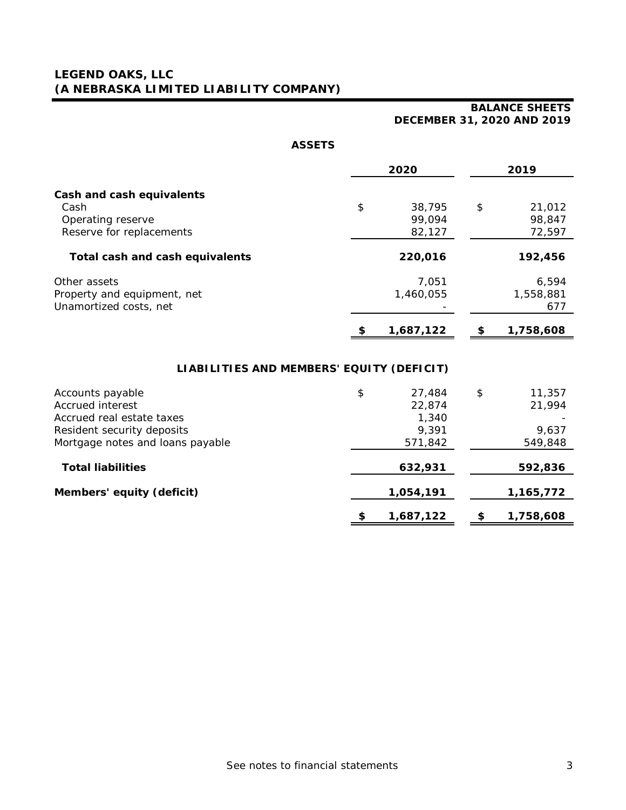# **BALANCE SHEETS DECEMBER 31, 2020 AND 2019**

| Λ.<br>ו ∟כי<br>ت |  |
|------------------|--|
|------------------|--|

|                                           | 2020                   | 2019                   |
|-------------------------------------------|------------------------|------------------------|
| Cash and cash equivalents                 |                        |                        |
| Cash                                      | \$<br>38,795           | \$<br>21,012           |
| Operating reserve                         | 99,094                 | 98,847                 |
| Reserve for replacements                  | 82,127                 | 72,597                 |
| Total cash and cash equivalents           | 220,016                | 192,456                |
| Other assets                              | 7,051                  | 6,594                  |
| Property and equipment, net               | 1,460,055              | 1,558,881              |
| Unamortized costs, net                    |                        | 677                    |
|                                           | 1,687,122              | 1,758,608              |
| LIABILITIES AND MEMBERS' EQUITY (DEFICIT) |                        |                        |
| Accounts payable<br>Accessor interest     | \$<br>27,484<br>22.071 | \$<br>11,357<br>21.001 |

| Accrued interest                 | 22,874          | 21,994    |
|----------------------------------|-----------------|-----------|
| Accrued real estate taxes        | 1,340           |           |
| Resident security deposits       | 9,391           | 9,637     |
| Mortgage notes and loans payable | 571,842         | 549,848   |
| <b>Total liabilities</b>         | 632,931         | 592,836   |
| Members' equity (deficit)        | 1,054,191       | 1,165,772 |
|                                  | \$<br>1,687,122 | 1,758,608 |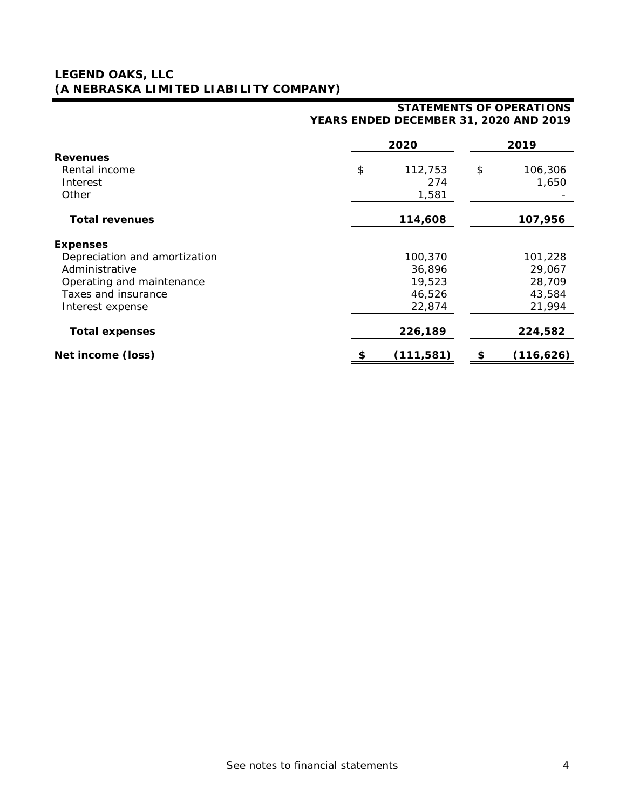# **STATEMENTS OF OPERATIONS YEARS ENDED DECEMBER 31, 2020 AND 2019**

|                               | 2020             | 2019             |
|-------------------------------|------------------|------------------|
| <b>Revenues</b>               |                  |                  |
| Rental income                 | \$<br>112,753    | \$<br>106,306    |
| Interest                      | 274              | 1,650            |
| Other                         | 1,581            |                  |
| <b>Total revenues</b>         | 114,608          | 107,956          |
|                               |                  |                  |
| <b>Expenses</b>               |                  |                  |
| Depreciation and amortization | 100,370          | 101,228          |
| Administrative                | 36,896           | 29,067           |
| Operating and maintenance     | 19,523           | 28,709           |
| Taxes and insurance           | 46,526           | 43,584           |
| Interest expense              | 22,874           | 21,994           |
| <b>Total expenses</b>         | 226,189          | 224,582          |
| Net income (loss)             | \$<br>(111, 581) | \$<br>(116, 626) |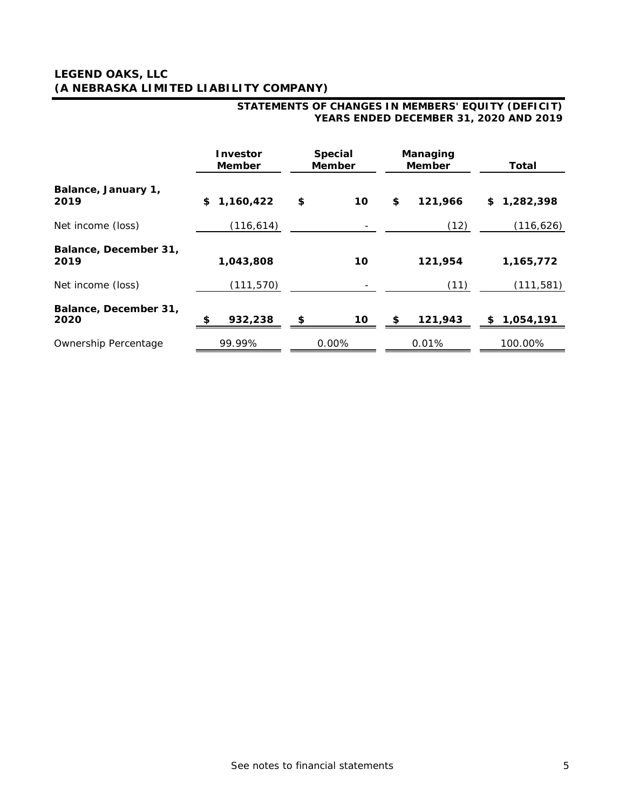|                               | <b>Investor</b><br><b>Member</b> | Special<br><b>Member</b> | Managing<br><b>Member</b> | Total           |
|-------------------------------|----------------------------------|--------------------------|---------------------------|-----------------|
| Balance, January 1,<br>2019   | 1,160,422<br>\$                  | 10<br>\$                 | 121,966<br>\$             | 1,282,398<br>\$ |
| Net income (loss)             | (116, 614)                       |                          | (12)                      | (116, 626)      |
| Balance, December 31,<br>2019 | 1,043,808                        | 10                       | 121,954                   | 1,165,772       |
| Net income (loss)             | (111, 570)                       |                          | (11)                      | (111, 581)      |
| Balance, December 31,<br>2020 | 932,238<br>\$                    | \$<br>10                 | 121,943<br>SS.            | 1,054,191<br>\$ |
| Ownership Percentage          | 99.99%                           | 0.00%                    | 0.01%                     | 100.00%         |

### **STATEMENTS OF CHANGES IN MEMBERS' EQUITY (DEFICIT) YEARS ENDED DECEMBER 31, 2020 AND 2019**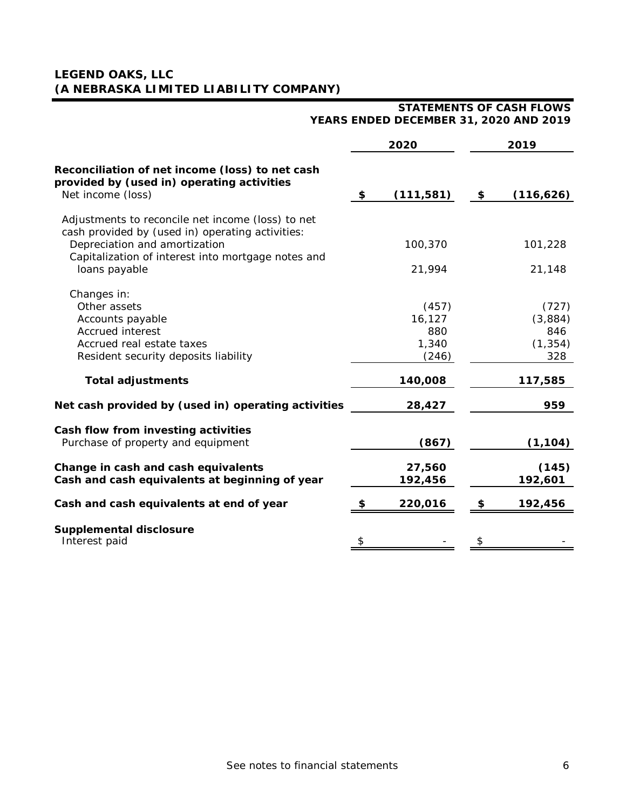|                                                                                                                    | 2020              | 2019              |
|--------------------------------------------------------------------------------------------------------------------|-------------------|-------------------|
| Reconciliation of net income (loss) to net cash<br>provided by (used in) operating activities<br>Net income (loss) | \$<br>(111, 581)  | \$<br>(116, 626)  |
| Adjustments to reconcile net income (loss) to net<br>cash provided by (used in) operating activities:              |                   |                   |
| Depreciation and amortization<br>Capitalization of interest into mortgage notes and<br>loans payable               | 100,370<br>21,994 | 101,228<br>21,148 |
| Changes in:                                                                                                        |                   |                   |
| Other assets                                                                                                       | (457)             | (727)             |
| Accounts payable                                                                                                   | 16,127            | (3,884)           |
| Accrued interest                                                                                                   | 880               | 846               |
| Accrued real estate taxes                                                                                          | 1,340             | (1, 354)          |
| Resident security deposits liability                                                                               | (246)             | 328               |
| <b>Total adjustments</b>                                                                                           | 140,008           | 117,585           |
| Net cash provided by (used in) operating activities                                                                | 28,427            | 959               |
| Cash flow from investing activities                                                                                |                   |                   |
| Purchase of property and equipment                                                                                 | (867)             | (1, 104)          |
| Change in cash and cash equivalents                                                                                | 27,560            | (145)             |
| Cash and cash equivalents at beginning of year                                                                     | 192,456           | 192,601           |
| Cash and cash equivalents at end of year                                                                           | 220,016           | \$<br>192,456     |
| Supplemental disclosure                                                                                            |                   |                   |
| Interest paid                                                                                                      | \$                | \$                |

### **STATEMENTS OF CASH FLOWS YEARS ENDED DECEMBER 31, 2020 AND 2019**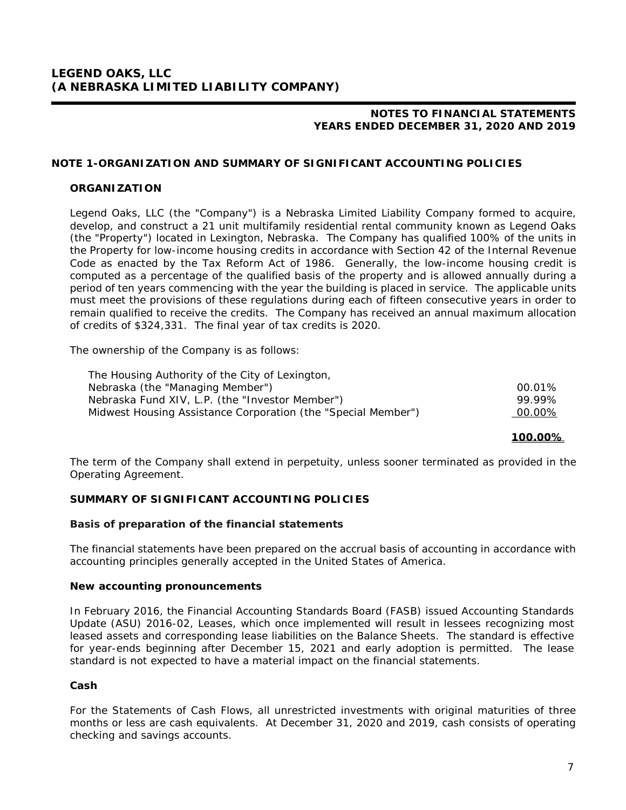# **NOTE 1-ORGANIZATION AND SUMMARY OF SIGNIFICANT ACCOUNTING POLICIES**

## **ORGANIZATION**

Legend Oaks, LLC (the "Company") is a Nebraska Limited Liability Company formed to acquire, develop, and construct a 21 unit multifamily residential rental community known as Legend Oaks (the "Property") located in Lexington, Nebraska. The Company has qualified 100% of the units in the Property for low-income housing credits in accordance with Section 42 of the Internal Revenue Code as enacted by the Tax Reform Act of 1986. Generally, the low-income housing credit is computed as a percentage of the qualified basis of the property and is allowed annually during a period of ten years commencing with the year the building is placed in service. The applicable units must meet the provisions of these regulations during each of fifteen consecutive years in order to remain qualified to receive the credits. The Company has received an annual maximum allocation of credits of \$324,331. The final year of tax credits is 2020.

The ownership of the Company is as follows:

| The Housing Authority of the City of Lexington,               |        |
|---------------------------------------------------------------|--------|
| Nebraska (the "Managing Member")                              | 00.01% |
| Nebraska Fund XIV, L.P. (the "Investor Member")               | 99.99% |
| Midwest Housing Assistance Corporation (the "Special Member") | 00.00% |

**100.00%**

The term of the Company shall extend in perpetuity, unless sooner terminated as provided in the Operating Agreement.

# **SUMMARY OF SIGNIFICANT ACCOUNTING POLICIES**

#### **Basis of preparation of the financial statements**

The financial statements have been prepared on the accrual basis of accounting in accordance with accounting principles generally accepted in the United States of America.

#### **New accounting pronouncements**

In February 2016, the Financial Accounting Standards Board (FASB) issued Accounting Standards Update (ASU) 2016-02, Leases, which once implemented will result in lessees recognizing most leased assets and corresponding lease liabilities on the Balance Sheets. The standard is effective for year-ends beginning after December 15, 2021 and early adoption is permitted. The lease standard is not expected to have a material impact on the financial statements.

#### **Cash**

For the Statements of Cash Flows, all unrestricted investments with original maturities of three months or less are cash equivalents. At December 31, 2020 and 2019, cash consists of operating checking and savings accounts.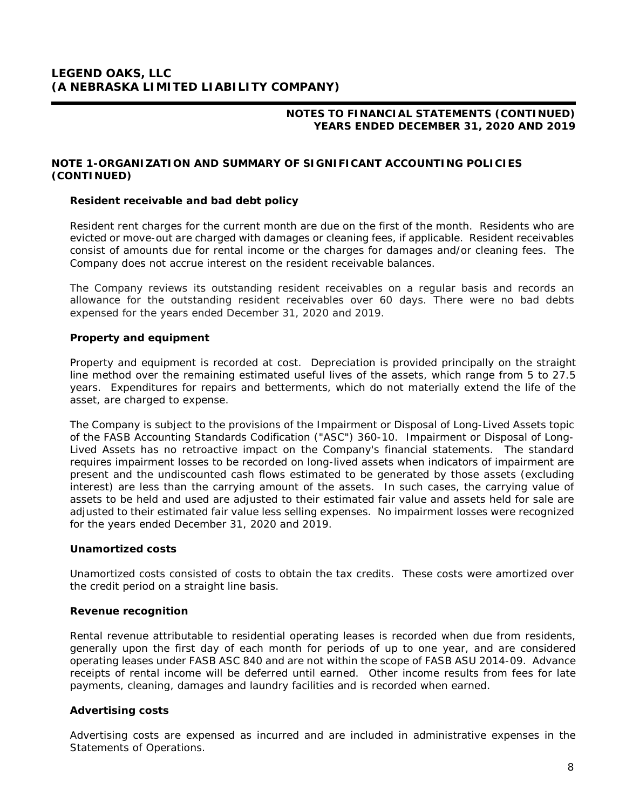# **NOTE 1-ORGANIZATION AND SUMMARY OF SIGNIFICANT ACCOUNTING POLICIES (CONTINUED)**

# **Resident receivable and bad debt policy**

Resident rent charges for the current month are due on the first of the month. Residents who are evicted or move-out are charged with damages or cleaning fees, if applicable. Resident receivables consist of amounts due for rental income or the charges for damages and/or cleaning fees. The Company does not accrue interest on the resident receivable balances.

The Company reviews its outstanding resident receivables on a regular basis and records an allowance for the outstanding resident receivables over 60 days. There were no bad debts expensed for the years ended December 31, 2020 and 2019.

### **Property and equipment**

Property and equipment is recorded at cost. Depreciation is provided principally on the straight line method over the remaining estimated useful lives of the assets, which range from 5 to 27.5 years. Expenditures for repairs and betterments, which do not materially extend the life of the asset, are charged to expense.

The Company is subject to the provisions of the Impairment or Disposal of Long-Lived Assets topic of the FASB *Accounting Standards Codification* ("ASC") 360-10. Impairment or Disposal of Long-Lived Assets has no retroactive impact on the Company's financial statements. The standard requires impairment losses to be recorded on long-lived assets when indicators of impairment are present and the undiscounted cash flows estimated to be generated by those assets (excluding interest) are less than the carrying amount of the assets. In such cases, the carrying value of assets to be held and used are adjusted to their estimated fair value and assets held for sale are adjusted to their estimated fair value less selling expenses. No impairment losses were recognized for the years ended December 31, 2020 and 2019.

#### **Unamortized costs**

Unamortized costs consisted of costs to obtain the tax credits. These costs were amortized over the credit period on a straight line basis.

#### **Revenue recognition**

Rental revenue attributable to residential operating leases is recorded when due from residents, generally upon the first day of each month for periods of up to one year, and are considered operating leases under FASB ASC 840 and are not within the scope of FASB ASU 2014-09. Advance receipts of rental income will be deferred until earned. Other income results from fees for late payments, cleaning, damages and laundry facilities and is recorded when earned.

#### **Advertising costs**

Advertising costs are expensed as incurred and are included in administrative expenses in the Statements of Operations.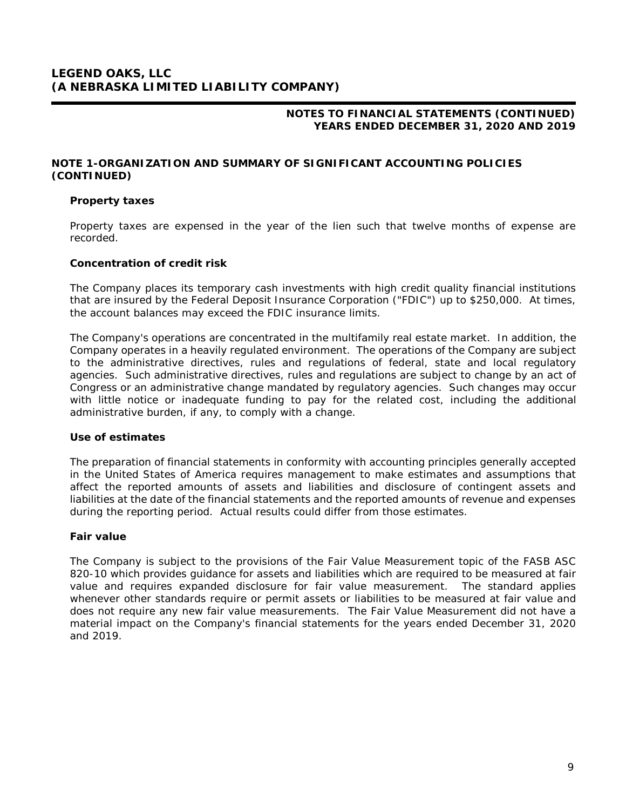# **NOTE 1-ORGANIZATION AND SUMMARY OF SIGNIFICANT ACCOUNTING POLICIES (CONTINUED)**

## **Property taxes**

Property taxes are expensed in the year of the lien such that twelve months of expense are recorded.

### **Concentration of credit risk**

The Company places its temporary cash investments with high credit quality financial institutions that are insured by the Federal Deposit Insurance Corporation ("FDIC") up to \$250,000. At times, the account balances may exceed the FDIC insurance limits.

The Company's operations are concentrated in the multifamily real estate market. In addition, the Company operates in a heavily regulated environment. The operations of the Company are subject to the administrative directives, rules and regulations of federal, state and local regulatory agencies. Such administrative directives, rules and regulations are subject to change by an act of Congress or an administrative change mandated by regulatory agencies. Such changes may occur with little notice or inadequate funding to pay for the related cost, including the additional administrative burden, if any, to comply with a change.

# **Use of estimates**

The preparation of financial statements in conformity with accounting principles generally accepted in the United States of America requires management to make estimates and assumptions that affect the reported amounts of assets and liabilities and disclosure of contingent assets and liabilities at the date of the financial statements and the reported amounts of revenue and expenses during the reporting period. Actual results could differ from those estimates.

# **Fair value**

The Company is subject to the provisions of the Fair Value Measurement topic of the FASB ASC 820-10 which provides guidance for assets and liabilities which are required to be measured at fair value and requires expanded disclosure for fair value measurement. The standard applies whenever other standards require or permit assets or liabilities to be measured at fair value and does not require any new fair value measurements. The Fair Value Measurement did not have a material impact on the Company's financial statements for the years ended December 31, 2020 and 2019.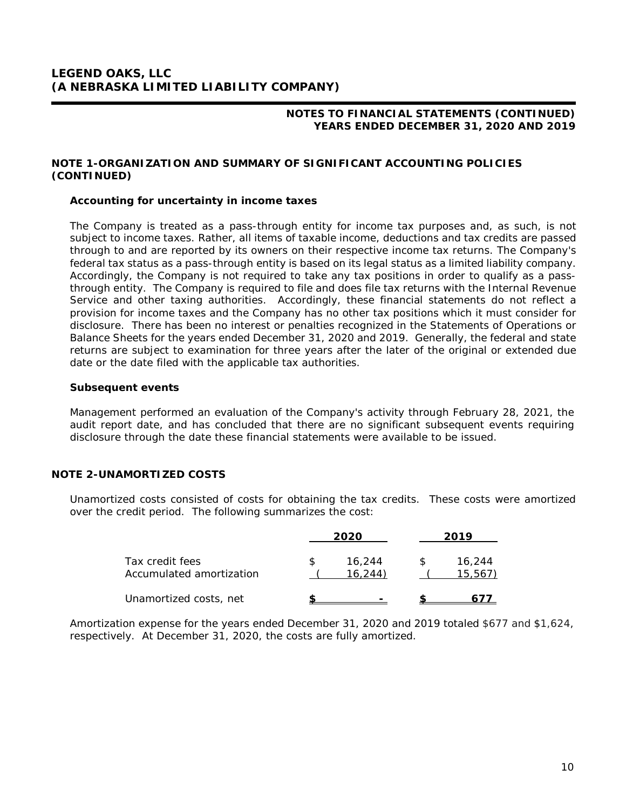# **NOTE 1-ORGANIZATION AND SUMMARY OF SIGNIFICANT ACCOUNTING POLICIES (CONTINUED)**

### **Accounting for uncertainty in income taxes**

The Company is treated as a pass-through entity for income tax purposes and, as such, is not subject to income taxes. Rather, all items of taxable income, deductions and tax credits are passed through to and are reported by its owners on their respective income tax returns. The Company's federal tax status as a pass-through entity is based on its legal status as a limited liability company. Accordingly, the Company is not required to take any tax positions in order to qualify as a passthrough entity. The Company is required to file and does file tax returns with the Internal Revenue Service and other taxing authorities. Accordingly, these financial statements do not reflect a provision for income taxes and the Company has no other tax positions which it must consider for disclosure. There has been no interest or penalties recognized in the Statements of Operations or Balance Sheets for the years ended December 31, 2020 and 2019. Generally, the federal and state returns are subject to examination for three years after the later of the original or extended due date or the date filed with the applicable tax authorities.

#### **Subsequent events**

Management performed an evaluation of the Company's activity through February 28, 2021, the audit report date, and has concluded that there are no significant subsequent events requiring disclosure through the date these financial statements were available to be issued.

# **NOTE 2-UNAMORTIZED COSTS**

Unamortized costs consisted of costs for obtaining the tax credits. These costs were amortized over the credit period. The following summarizes the cost:

|                                             | 2020              | 2019 |                  |
|---------------------------------------------|-------------------|------|------------------|
| Tax credit fees<br>Accumulated amortization | 16,244<br>16.244) |      | 16,244<br>15.567 |
| Unamortized costs, net                      |                   |      |                  |

Amortization expense for the years ended December 31, 2020 and 2019 totaled \$677 and \$1,624, respectively. At December 31, 2020, the costs are fully amortized.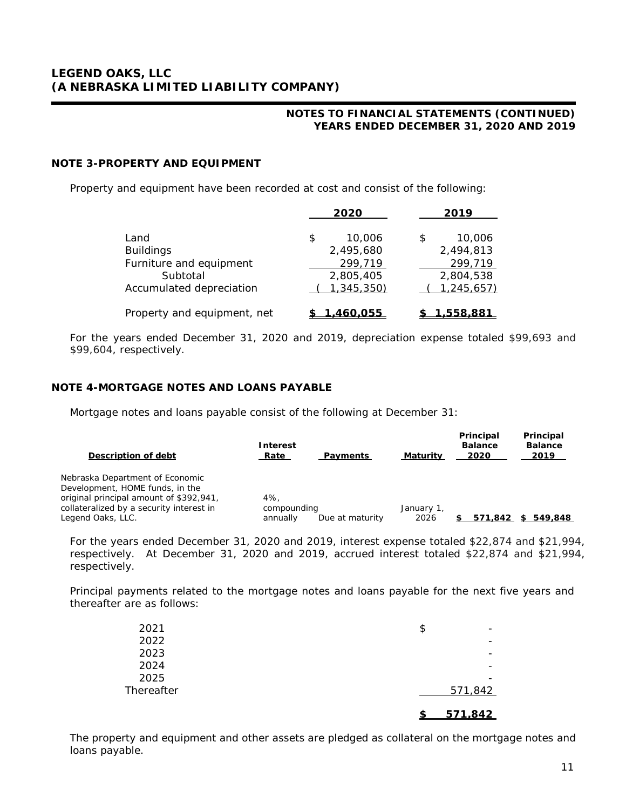# **NOTE 3-PROPERTY AND EQUIPMENT**

Property and equipment have been recorded at cost and consist of the following:

|                             | 2020         | 2019         |
|-----------------------------|--------------|--------------|
| Land                        | 10,006<br>\$ | 10,006<br>\$ |
| <b>Buildings</b>            | 2,495,680    | 2,494,813    |
| Furniture and equipment     | 299,719      | 299,719      |
| Subtotal                    | 2,805,405    | 2,804,538    |
| Accumulated depreciation    | 1,345,350)   | 1,245,657)   |
| Property and equipment, net | 460.055      | .558.881     |

For the years ended December 31, 2020 and 2019, depreciation expense totaled \$99,693 and \$99,604, respectively.

# **NOTE 4-MORTGAGE NOTES AND LOANS PAYABLE**

Mortgage notes and loans payable consist of the following at December 31:

| <b>Interest</b><br>Rate | Payments        | Maturity    | Principal<br><b>Balance</b><br>2020 | Principal<br><b>Balance</b><br>2019 |
|-------------------------|-----------------|-------------|-------------------------------------|-------------------------------------|
|                         |                 |             |                                     |                                     |
|                         |                 | January 1,  |                                     |                                     |
| annually                | Due at maturity | 2026        | 571.842                             | 549,848<br>S.                       |
|                         | 4%              | compounding |                                     |                                     |

For the years ended December 31, 2020 and 2019, interest expense totaled \$22,874 and \$21,994, respectively. At December 31, 2020 and 2019, accrued interest totaled \$22,874 and \$21,994, respectively.

Principal payments related to the mortgage notes and loans payable for the next five years and thereafter are as follows:

| 2021       | \$      |
|------------|---------|
| 2022       |         |
| 2023       |         |
| 2024       |         |
| 2025       |         |
| Thereafter | 571,842 |
|            | 571.842 |

The property and equipment and other assets are pledged as collateral on the mortgage notes and loans payable.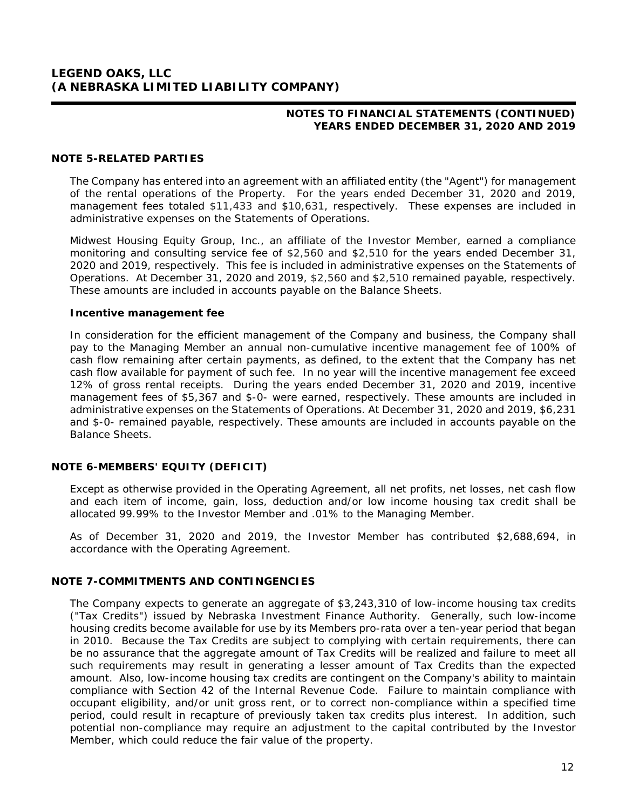# **NOTES TO FINANCIAL STATEMENTS (CONTINUED) YEARS ENDED DECEMBER 31, 2020 AND 2019**

## **NOTE 5-RELATED PARTIES**

The Company has entered into an agreement with an affiliated entity (the "Agent") for management of the rental operations of the Property. For the years ended December 31, 2020 and 2019, management fees totaled \$11,433 and \$10,631, respectively. These expenses are included in administrative expenses on the Statements of Operations.

Midwest Housing Equity Group, Inc., an affiliate of the Investor Member, earned a compliance monitoring and consulting service fee of \$2,560 and \$2,510 for the years ended December 31, 2020 and 2019, respectively. This fee is included in administrative expenses on the Statements of Operations. At December 31, 2020 and 2019, \$2,560 and \$2,510 remained payable, respectively. These amounts are included in accounts payable on the Balance Sheets.

#### **Incentive management fee**

In consideration for the efficient management of the Company and business, the Company shall pay to the Managing Member an annual non-cumulative incentive management fee of 100% of cash flow remaining after certain payments, as defined, to the extent that the Company has net cash flow available for payment of such fee. In no year will the incentive management fee exceed 12% of gross rental receipts. During the years ended December 31, 2020 and 2019, incentive management fees of \$5,367 and \$-0- were earned, respectively. These amounts are included in administrative expenses on the Statements of Operations. At December 31, 2020 and 2019, \$6,231 and \$-0- remained payable, respectively. These amounts are included in accounts payable on the Balance Sheets.

# **NOTE 6-MEMBERS' EQUITY (DEFICIT)**

Except as otherwise provided in the Operating Agreement, all net profits, net losses, net cash flow and each item of income, gain, loss, deduction and/or low income housing tax credit shall be allocated 99.99% to the Investor Member and .01% to the Managing Member.

As of December 31, 2020 and 2019, the Investor Member has contributed \$2,688,694, in accordance with the Operating Agreement.

# **NOTE 7-COMMITMENTS AND CONTINGENCIES**

The Company expects to generate an aggregate of \$3,243,310 of low-income housing tax credits ("Tax Credits") issued by Nebraska Investment Finance Authority. Generally, such low-income housing credits become available for use by its Members pro-rata over a ten-year period that began in 2010. Because the Tax Credits are subject to complying with certain requirements, there can be no assurance that the aggregate amount of Tax Credits will be realized and failure to meet all such requirements may result in generating a lesser amount of Tax Credits than the expected amount. Also, low-income housing tax credits are contingent on the Company's ability to maintain compliance with Section 42 of the Internal Revenue Code. Failure to maintain compliance with occupant eligibility, and/or unit gross rent, or to correct non-compliance within a specified time period, could result in recapture of previously taken tax credits plus interest. In addition, such potential non-compliance may require an adjustment to the capital contributed by the Investor Member, which could reduce the fair value of the property.